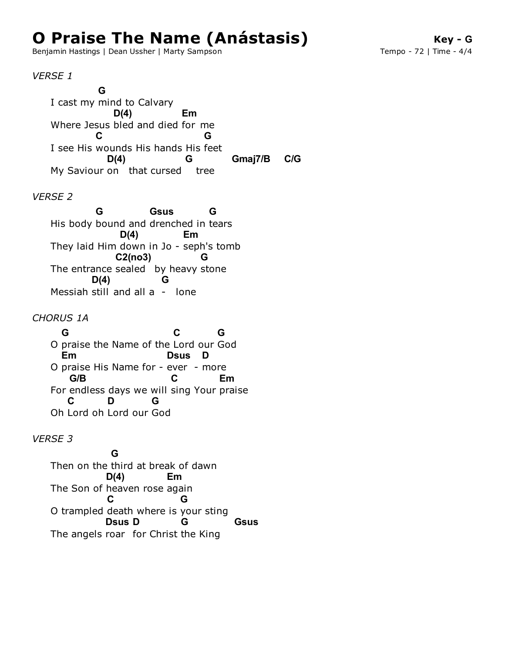## **O Praise The Name (Anástasis)**

Benjamin Hastings | Dean Ussher | Marty Sampson

*VERSE 1*

I cast my mind to Calvary Where Jesus bled and died for me I see His wounds His hands His feet My Saviour on that cursed tree **G D(4) Em C G D(4) G Gmaj7/B C/G**

## *VERSE 2*

His body bound and drenched in tears They laid Him down in Jo - seph's tomb The entrance sealed by heavy stone Messiah still and all a - lone **G Gsus G D(4) Em C2(no3) G D(4) G**

*CHORUS 1A*

O praise the Name of the Lord our God O praise His Name for - ever - more For endless days we will sing Your praise Oh Lord oh Lord our God **G C G Em Dsus D G/B C Em C D G**

## *VERSE 3*

Then on the third at break of dawn The Son of heaven rose again O trampled death where is your sting The angels roar for Christ the King **G D(4) Em C G Dsus D G Gsus**